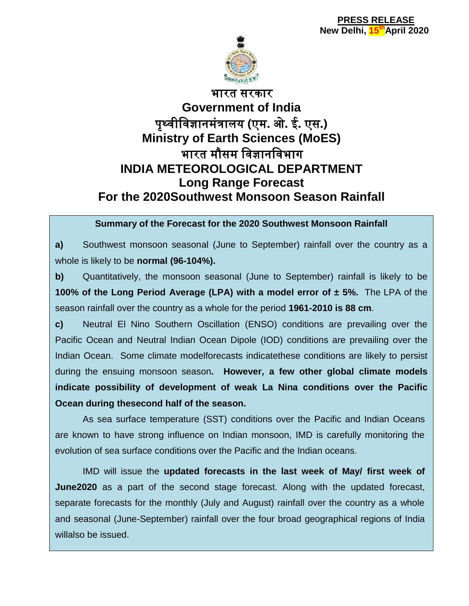

# भारत सरकार **Government of India** पृथ्वीववज्ञानमंत्रालय **(**एम**.** ओ**.** ई**.** एस**.) Ministry of Earth Sciences (MoES)** भारत मौसम ववज्ञानववभाग **INDIA METEOROLOGICAL DEPARTMENT Long Range Forecast For the 2020Southwest Monsoon Season Rainfall**

#### **Summary of the Forecast for the 2020 Southwest Monsoon Rainfall**

**a)** Southwest monsoon seasonal (June to September) rainfall over the country as a whole is likely to be **normal (96-104%).**

**b)** Quantitatively, the monsoon seasonal (June to September) rainfall is likely to be **100% of the Long Period Average (LPA) with a model error of ± 5%.** The LPA of the season rainfall over the country as a whole for the period **1961-2010 is 88 cm**.

**c)** Neutral El Nino Southern Oscillation (ENSO) conditions are prevailing over the Pacific Ocean and Neutral Indian Ocean Dipole (IOD) conditions are prevailing over the Indian Ocean. Some climate modelforecasts indicatethese conditions are likely to persist during the ensuing monsoon season**. However, a few other global climate models indicate possibility of development of weak La Nina conditions over the Pacific Ocean during thesecond half of the season.**

As sea surface temperature (SST) conditions over the Pacific and Indian Oceans are known to have strong influence on Indian monsoon, IMD is carefully monitoring the evolution of sea surface conditions over the Pacific and the Indian oceans.

IMD will issue the **updated forecasts in the last week of May/ first week of June2020** as a part of the second stage forecast. Along with the updated forecast, separate forecasts for the monthly (July and August) rainfall over the country as a whole and seasonal (June-September) rainfall over the four broad geographical regions of India willalso be issued.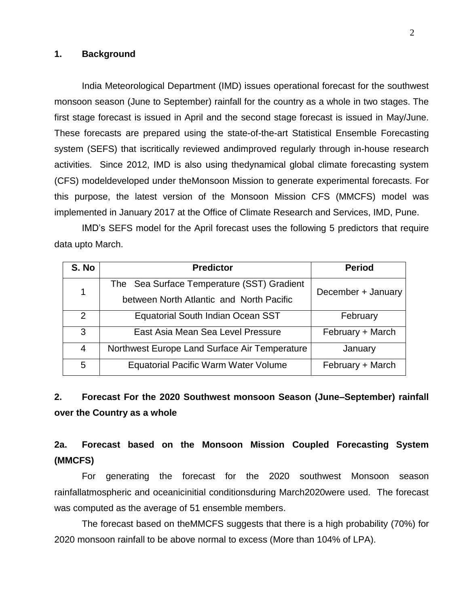#### **1. Background**

India Meteorological Department (IMD) issues operational forecast for the southwest monsoon season (June to September) rainfall for the country as a whole in two stages. The first stage forecast is issued in April and the second stage forecast is issued in May/June. These forecasts are prepared using the state-of-the-art Statistical Ensemble Forecasting system (SEFS) that iscritically reviewed andimproved regularly through in-house research activities. Since 2012, IMD is also using thedynamical global climate forecasting system (CFS) modeldeveloped under theMonsoon Mission to generate experimental forecasts. For this purpose, the latest version of the Monsoon Mission CFS (MMCFS) model was implemented in January 2017 at the Office of Climate Research and Services, IMD, Pune.

IMD's SEFS model for the April forecast uses the following 5 predictors that require data upto March.

| S. No | <b>Predictor</b>                                         | <b>Period</b>      |  |
|-------|----------------------------------------------------------|--------------------|--|
| 1     | The Sea Surface Temperature (SST) Gradient               | December + January |  |
|       | between North Atlantic and North Pacific                 |                    |  |
| 2     | Equatorial South Indian Ocean SST                        | February           |  |
| 3     | East Asia Mean Sea Level Pressure                        | February + March   |  |
| 4     | Northwest Europe Land Surface Air Temperature<br>January |                    |  |
| 5     | <b>Equatorial Pacific Warm Water Volume</b>              | February + March   |  |

### **2. Forecast For the 2020 Southwest monsoon Season (June–September) rainfall over the Country as a whole**

### **2a. Forecast based on the Monsoon Mission Coupled Forecasting System (MMCFS)**

For generating the forecast for the 2020 southwest Monsoon season rainfallatmospheric and oceanicinitial conditionsduring March2020were used. The forecast was computed as the average of 51 ensemble members.

The forecast based on theMMCFS suggests that there is a high probability (70%) for 2020 monsoon rainfall to be above normal to excess (More than 104% of LPA).